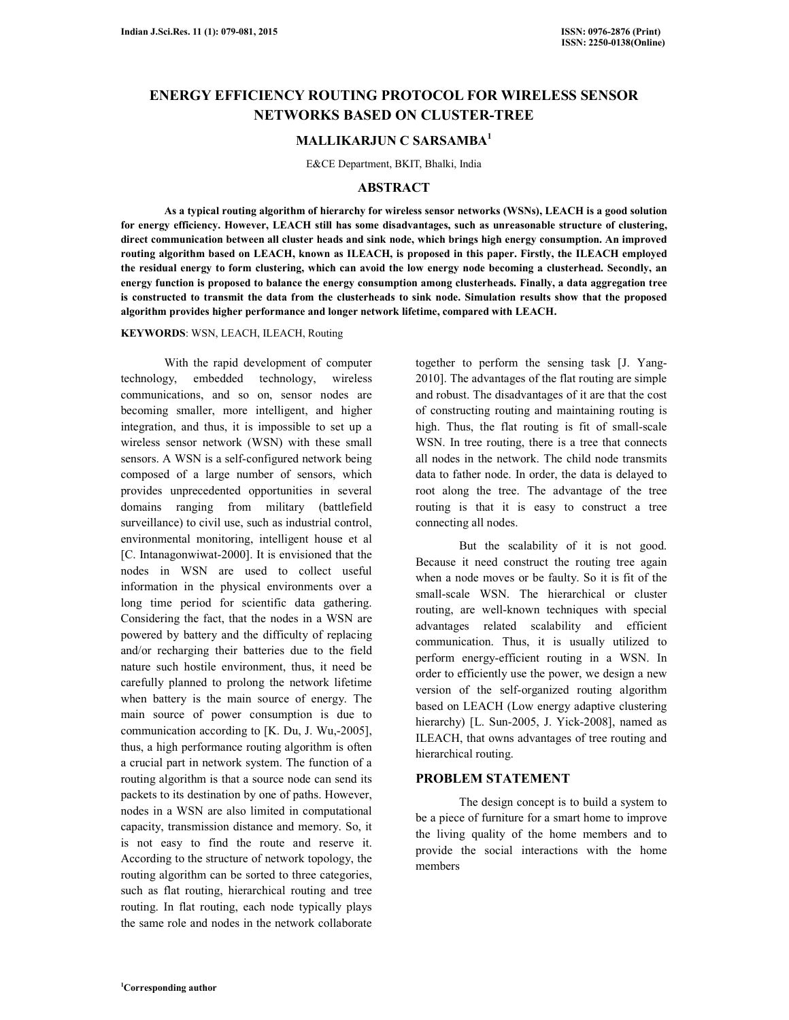# **ENERGY EFFICIENCY ROUTING PROTOCOL FOR WIRELESS SENSOR NETWORKS BASED ON CLUSTER-TREE**

# **MALLIKARJUN C SARSAMBA<sup>1</sup>**

E&CE Department, BKIT, Bhalki, India

## **ABSTRACT**

 **As a typical routing algorithm of hierarchy for wireless sensor networks (WSNs), LEACH is a good solution for energy efficiency. However, LEACH still has some disadvantages, such as unreasonable structure of clustering, direct communication between all cluster heads and sink node, which brings high energy consumption. An improved routing algorithm based on LEACH, known as ILEACH, is proposed in this paper. Firstly, the ILEACH employed the residual energy to form clustering, which can avoid the low energy node becoming a clusterhead. Secondly, an energy function is proposed to balance the energy consumption among clusterheads. Finally, a data aggregation tree is constructed to transmit the data from the clusterheads to sink node. Simulation results show that the proposed algorithm provides higher performance and longer network lifetime, compared with LEACH.** 

## **KEYWORDS**: WSN, LEACH, ILEACH, Routing

 With the rapid development of computer technology, embedded technology, wireless communications, and so on, sensor nodes are becoming smaller, more intelligent, and higher integration, and thus, it is impossible to set up a wireless sensor network (WSN) with these small sensors. A WSN is a self-configured network being composed of a large number of sensors, which provides unprecedented opportunities in several domains ranging from military (battlefield surveillance) to civil use, such as industrial control, environmental monitoring, intelligent house et al [C. Intanagonwiwat-2000]. It is envisioned that the nodes in WSN are used to collect useful information in the physical environments over a long time period for scientific data gathering. Considering the fact, that the nodes in a WSN are powered by battery and the difficulty of replacing and/or recharging their batteries due to the field nature such hostile environment, thus, it need be carefully planned to prolong the network lifetime when battery is the main source of energy. The main source of power consumption is due to communication according to [K. Du, J. Wu,-2005], thus, a high performance routing algorithm is often a crucial part in network system. The function of a routing algorithm is that a source node can send its packets to its destination by one of paths. However, nodes in a WSN are also limited in computational capacity, transmission distance and memory. So, it is not easy to find the route and reserve it. According to the structure of network topology, the routing algorithm can be sorted to three categories, such as flat routing, hierarchical routing and tree routing. In flat routing, each node typically plays the same role and nodes in the network collaborate

together to perform the sensing task [J. Yang-2010]. The advantages of the flat routing are simple and robust. The disadvantages of it are that the cost of constructing routing and maintaining routing is high. Thus, the flat routing is fit of small-scale WSN. In tree routing, there is a tree that connects all nodes in the network. The child node transmits data to father node. In order, the data is delayed to root along the tree. The advantage of the tree routing is that it is easy to construct a tree connecting all nodes.

 But the scalability of it is not good. Because it need construct the routing tree again when a node moves or be faulty. So it is fit of the small-scale WSN. The hierarchical or cluster routing, are well-known techniques with special advantages related scalability and efficient communication. Thus, it is usually utilized to perform energy-efficient routing in a WSN. In order to efficiently use the power, we design a new version of the self-organized routing algorithm based on LEACH (Low energy adaptive clustering hierarchy) [L. Sun-2005, J. Yick-2008], named as ILEACH, that owns advantages of tree routing and hierarchical routing.

## **PROBLEM STATEMENT**

 The design concept is to build a system to be a piece of furniture for a smart home to improve the living quality of the home members and to provide the social interactions with the home members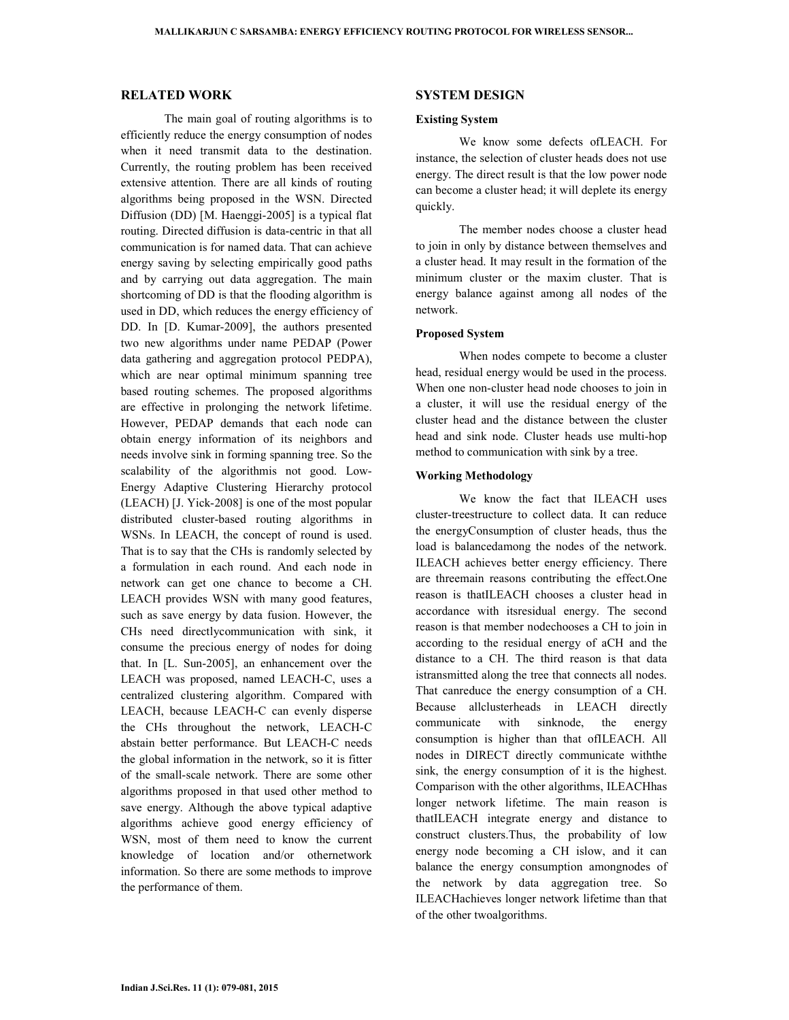## **RELATED WORK**

 The main goal of routing algorithms is to efficiently reduce the energy consumption of nodes when it need transmit data to the destination. Currently, the routing problem has been received extensive attention. There are all kinds of routing algorithms being proposed in the WSN. Directed Diffusion (DD) [M. Haenggi-2005] is a typical flat routing. Directed diffusion is data-centric in that all communication is for named data. That can achieve energy saving by selecting empirically good paths and by carrying out data aggregation. The main shortcoming of DD is that the flooding algorithm is used in DD, which reduces the energy efficiency of DD. In [D. Kumar-2009], the authors presented two new algorithms under name PEDAP (Power data gathering and aggregation protocol PEDPA), which are near optimal minimum spanning tree based routing schemes. The proposed algorithms are effective in prolonging the network lifetime. However, PEDAP demands that each node can obtain energy information of its neighbors and needs involve sink in forming spanning tree. So the scalability of the algorithmis not good. Low-Energy Adaptive Clustering Hierarchy protocol (LEACH) [J. Yick-2008] is one of the most popular distributed cluster-based routing algorithms in WSNs. In LEACH, the concept of round is used. That is to say that the CHs is randomly selected by a formulation in each round. And each node in network can get one chance to become a CH. LEACH provides WSN with many good features, such as save energy by data fusion. However, the CHs need directlycommunication with sink, it consume the precious energy of nodes for doing that. In [L. Sun-2005], an enhancement over the LEACH was proposed, named LEACH-C, uses a centralized clustering algorithm. Compared with LEACH, because LEACH-C can evenly disperse the CHs throughout the network, LEACH-C abstain better performance. But LEACH-C needs the global information in the network, so it is fitter of the small-scale network. There are some other algorithms proposed in that used other method to save energy. Although the above typical adaptive algorithms achieve good energy efficiency of WSN, most of them need to know the current knowledge of location and/or othernetwork information. So there are some methods to improve the performance of them.

#### **SYSTEM DESIGN**

## **Existing System**

 We know some defects ofLEACH. For instance, the selection of cluster heads does not use energy. The direct result is that the low power node can become a cluster head; it will deplete its energy quickly.

 The member nodes choose a cluster head to join in only by distance between themselves and a cluster head. It may result in the formation of the minimum cluster or the maxim cluster. That is energy balance against among all nodes of the network.

#### **Proposed System**

 When nodes compete to become a cluster head, residual energy would be used in the process. When one non-cluster head node chooses to join in a cluster, it will use the residual energy of the cluster head and the distance between the cluster head and sink node. Cluster heads use multi-hop method to communication with sink by a tree.

#### **Working Methodology**

 We know the fact that ILEACH uses cluster-treestructure to collect data. It can reduce the energyConsumption of cluster heads, thus the load is balancedamong the nodes of the network. ILEACH achieves better energy efficiency. There are threemain reasons contributing the effect.One reason is thatILEACH chooses a cluster head in accordance with itsresidual energy. The second reason is that member nodechooses a CH to join in according to the residual energy of aCH and the distance to a CH. The third reason is that data istransmitted along the tree that connects all nodes. That canreduce the energy consumption of a CH. Because allclusterheads in LEACH directly communicate with sinknode, the energy consumption is higher than that ofILEACH. All nodes in DIRECT directly communicate withthe sink, the energy consumption of it is the highest. Comparison with the other algorithms, ILEACHhas longer network lifetime. The main reason is thatILEACH integrate energy and distance to construct clusters.Thus, the probability of low energy node becoming a CH islow, and it can balance the energy consumption amongnodes of the network by data aggregation tree. So ILEACHachieves longer network lifetime than that of the other twoalgorithms.